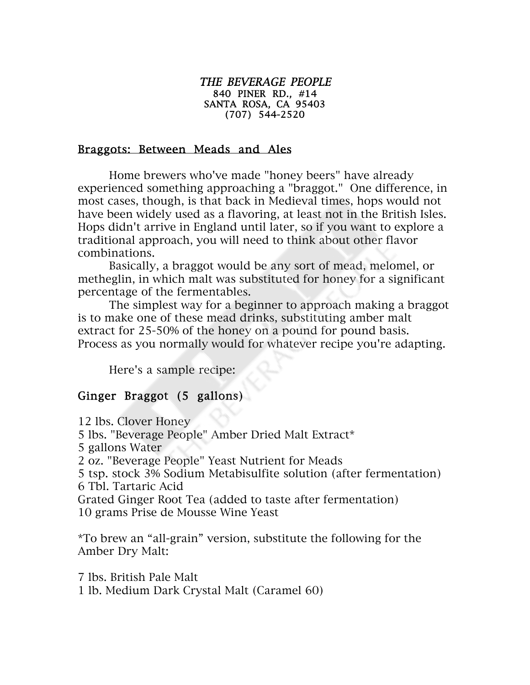## THE BEVERAGE PEOPLE 840 PINER RD., #14 SANTA ROSA, CA 95403 (707) 544-2520

## Braggots: Between Meads and Ales

Home brewers who've made "honey beers" have already experienced something approaching a "braggot." One difference, in most cases, though, is that back in Medieval times, hops would not have been widely used as a flavoring, at least not in the British Isles. Hops didn't arrive in England until later, so if you want to explore a traditional approach, you will need to think about other flavor combinations.

Basically, a braggot would be any sort of mead, melomel, or metheglin, in which malt was substituted for honey for a significant percentage of the fermentables.

The simplest way for a beginner to approach making a braggot is to make one of these mead drinks, substituting amber malt extract for 25-50% of the honey on a pound for pound basis. Process as you normally would for whatever recipe you're adapting.

Here's a sample recipe:

## Ginger Braggot (5 gallons)

12 lbs. Clover Honey 5 lbs. "Beverage People" Amber Dried Malt Extract\* 5 gallons Water 2 oz. "Beverage People" Yeast Nutrient for Meads 5 tsp. stock 3% Sodium Metabisulfite solution (after fermentation) 6 Tbl. Tartaric Acid Grated Ginger Root Tea (added to taste after fermentation) 10 grams Prise de Mousse Wine Yeast

\*To brew an "all-grain" version, substitute the following for the Amber Dry Malt:

7 lbs. British Pale Malt 1 lb. Medium Dark Crystal Malt (Caramel 60)